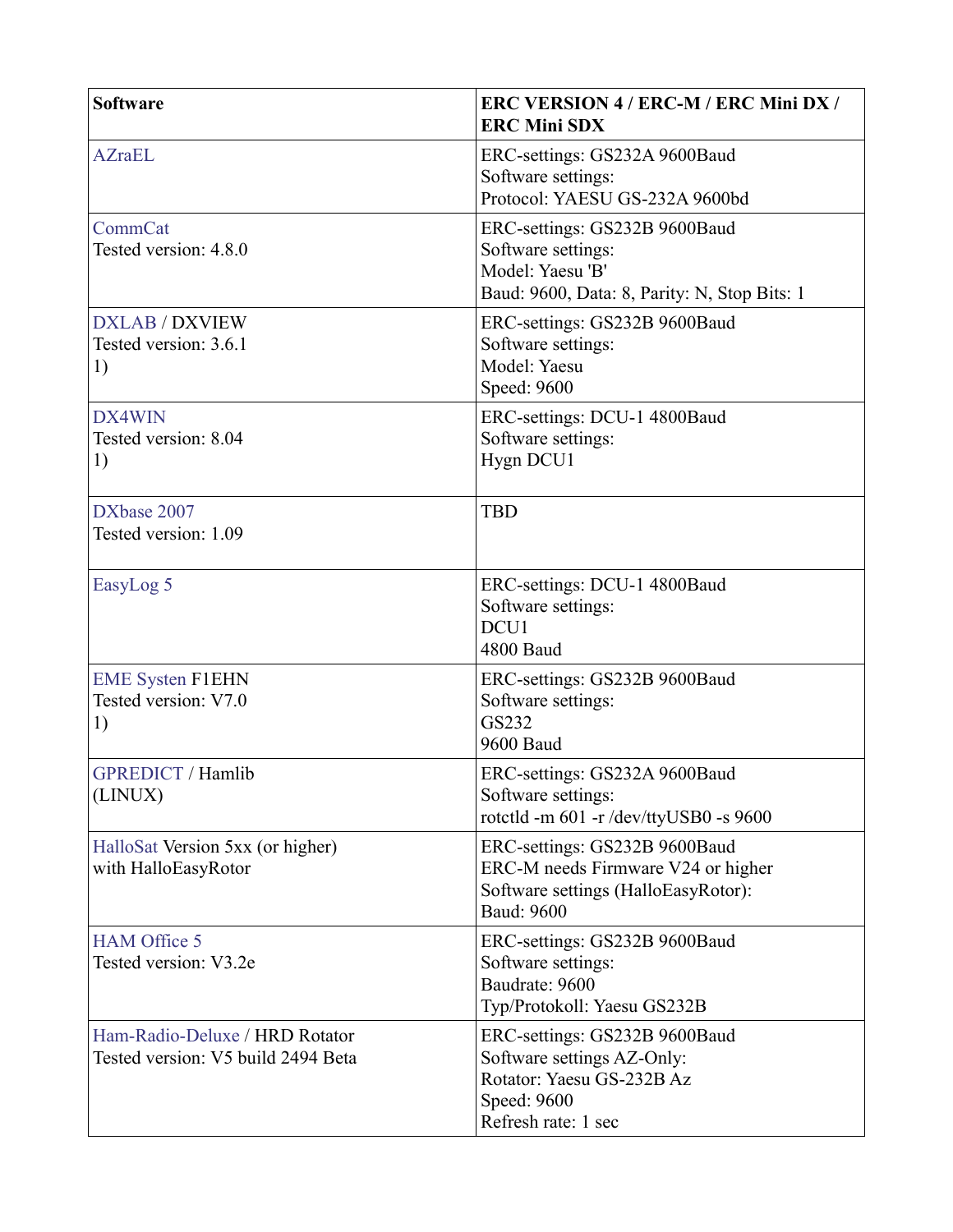| <b>Software</b>                                                      | ERC VERSION 4 / ERC-M / ERC Mini DX /<br><b>ERC Mini SDX</b>                                                                    |
|----------------------------------------------------------------------|---------------------------------------------------------------------------------------------------------------------------------|
| <b>AZraEL</b>                                                        | ERC-settings: GS232A 9600Baud<br>Software settings:<br>Protocol: YAESU GS-232A 9600bd                                           |
| CommCat<br>Tested version: 4.8.0                                     | ERC-settings: GS232B 9600Baud<br>Software settings:<br>Model: Yaesu 'B'<br>Baud: 9600, Data: 8, Parity: N, Stop Bits: 1         |
| <b>DXLAB / DXVIEW</b><br>Tested version: 3.6.1<br>1)                 | ERC-settings: GS232B 9600Baud<br>Software settings:<br>Model: Yaesu<br>Speed: 9600                                              |
| DX4WIN<br>Tested version: 8.04<br>1)                                 | ERC-settings: DCU-1 4800Baud<br>Software settings:<br>Hygn DCU1                                                                 |
| DXbase 2007<br>Tested version: 1.09                                  | <b>TBD</b>                                                                                                                      |
| EasyLog <sub>5</sub>                                                 | ERC-settings: DCU-1 4800Baud<br>Software settings:<br>DCU <sub>1</sub><br><b>4800 Baud</b>                                      |
| <b>EME Systen F1EHN</b><br>Tested version: V7.0<br>1)                | ERC-settings: GS232B 9600Baud<br>Software settings:<br>GS232<br><b>9600 Baud</b>                                                |
| <b>GPREDICT / Hamlib</b><br>(LINUX)                                  | ERC-settings: GS232A 9600Baud<br>Software settings:<br>rotetld -m 601 -r /dev/ttyUSB0 -s 9600                                   |
| HalloSat Version 5xx (or higher)<br>with HalloEasyRotor              | ERC-settings: GS232B 9600Baud<br>ERC-M needs Firmware V24 or higher<br>Software settings (HalloEasyRotor):<br><b>Baud: 9600</b> |
| <b>HAM Office 5</b><br>Tested version: V3.2e                         | ERC-settings: GS232B 9600Baud<br>Software settings:<br>Baudrate: 9600<br>Typ/Protokoll: Yaesu GS232B                            |
| Ham-Radio-Deluxe / HRD Rotator<br>Tested version: V5 build 2494 Beta | ERC-settings: GS232B 9600Baud<br>Software settings AZ-Only:<br>Rotator: Yaesu GS-232B Az<br>Speed: 9600<br>Refresh rate: 1 sec  |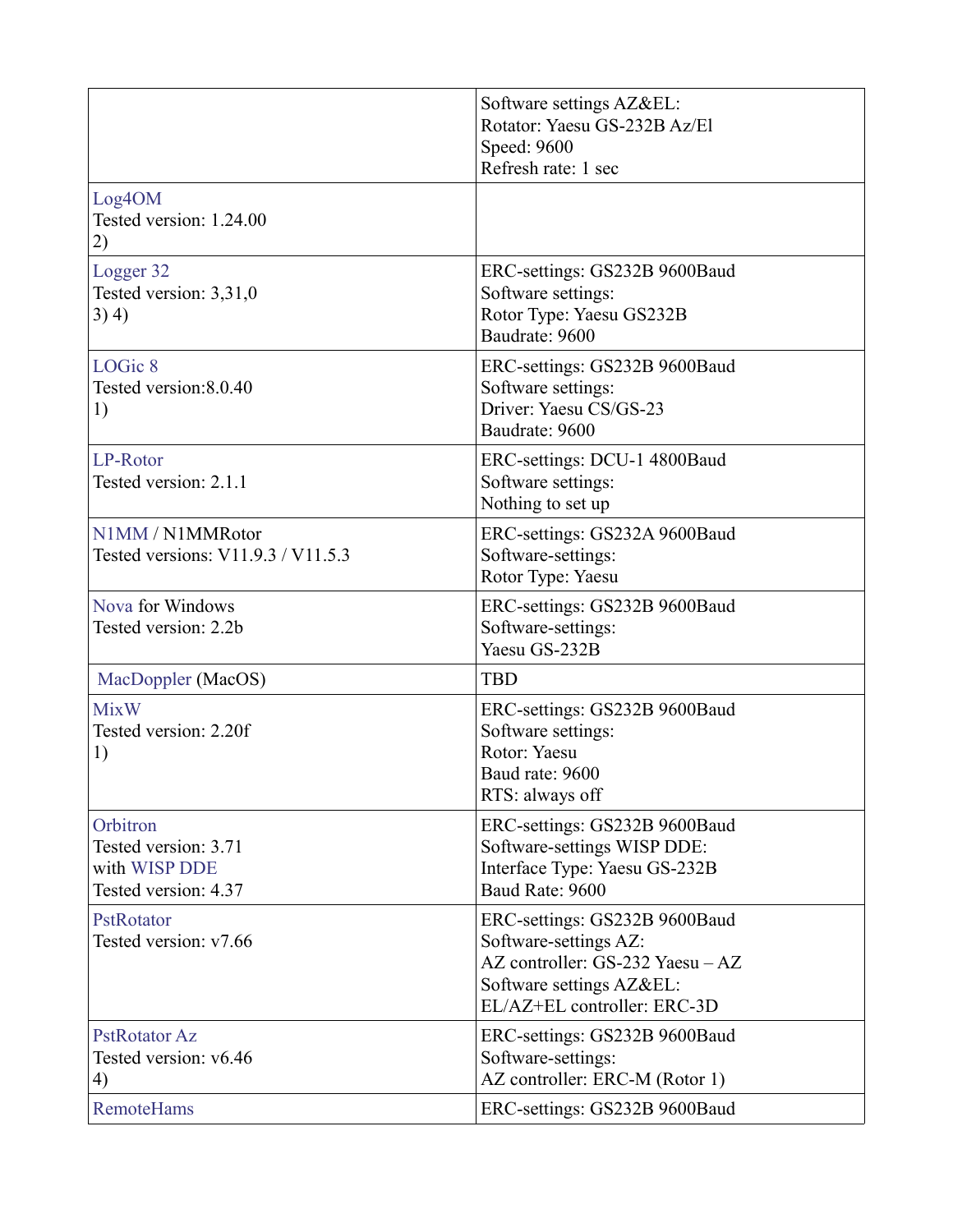|                                                                           | Software settings AZ&EL:<br>Rotator: Yaesu GS-232B Az/El<br>Speed: 9600<br>Refresh rate: 1 sec                                                        |
|---------------------------------------------------------------------------|-------------------------------------------------------------------------------------------------------------------------------------------------------|
| Log4OM<br>Tested version: 1.24.00<br>2)                                   |                                                                                                                                                       |
| Logger 32<br>Tested version: 3,31,0<br>3) 4)                              | ERC-settings: GS232B 9600Baud<br>Software settings:<br>Rotor Type: Yaesu GS232B<br>Baudrate: 9600                                                     |
| LOGic 8<br>Tested version: 8.0.40<br>1)                                   | ERC-settings: GS232B 9600Baud<br>Software settings:<br>Driver: Yaesu CS/GS-23<br>Baudrate: 9600                                                       |
| LP-Rotor<br>Tested version: 2.1.1                                         | ERC-settings: DCU-1 4800Baud<br>Software settings:<br>Nothing to set up                                                                               |
| N1MM / N1MMRotor<br>Tested versions: V11.9.3 / V11.5.3                    | ERC-settings: GS232A 9600Baud<br>Software-settings:<br>Rotor Type: Yaesu                                                                              |
| Nova for Windows<br>Tested version: 2.2b                                  | ERC-settings: GS232B 9600Baud<br>Software-settings:<br>Yaesu GS-232B                                                                                  |
| MacDoppler (MacOS)                                                        | <b>TBD</b>                                                                                                                                            |
| <b>MixW</b><br>Tested version: 2.20f<br>1)                                | ERC-settings: GS232B 9600Baud<br>Software settings:<br>Rotor: Yaesu<br>Baud rate: 9600<br>RTS: always off                                             |
| Orbitron<br>Tested version: 3.71<br>with WISP DDE<br>Tested version: 4.37 | ERC-settings: GS232B 9600Baud<br>Software-settings WISP DDE:<br>Interface Type: Yaesu GS-232B<br>Baud Rate: 9600                                      |
| PstRotator<br>Tested version: v7.66                                       | ERC-settings: GS232B 9600Baud<br>Software-settings AZ:<br>AZ controller: GS-232 Yaesu - AZ<br>Software settings AZ&EL:<br>EL/AZ+EL controller: ERC-3D |
| PstRotator Az<br>Tested version: v6.46<br>4)                              | ERC-settings: GS232B 9600Baud<br>Software-settings:<br>AZ controller: ERC-M (Rotor 1)                                                                 |
| <b>RemoteHams</b>                                                         | ERC-settings: GS232B 9600Baud                                                                                                                         |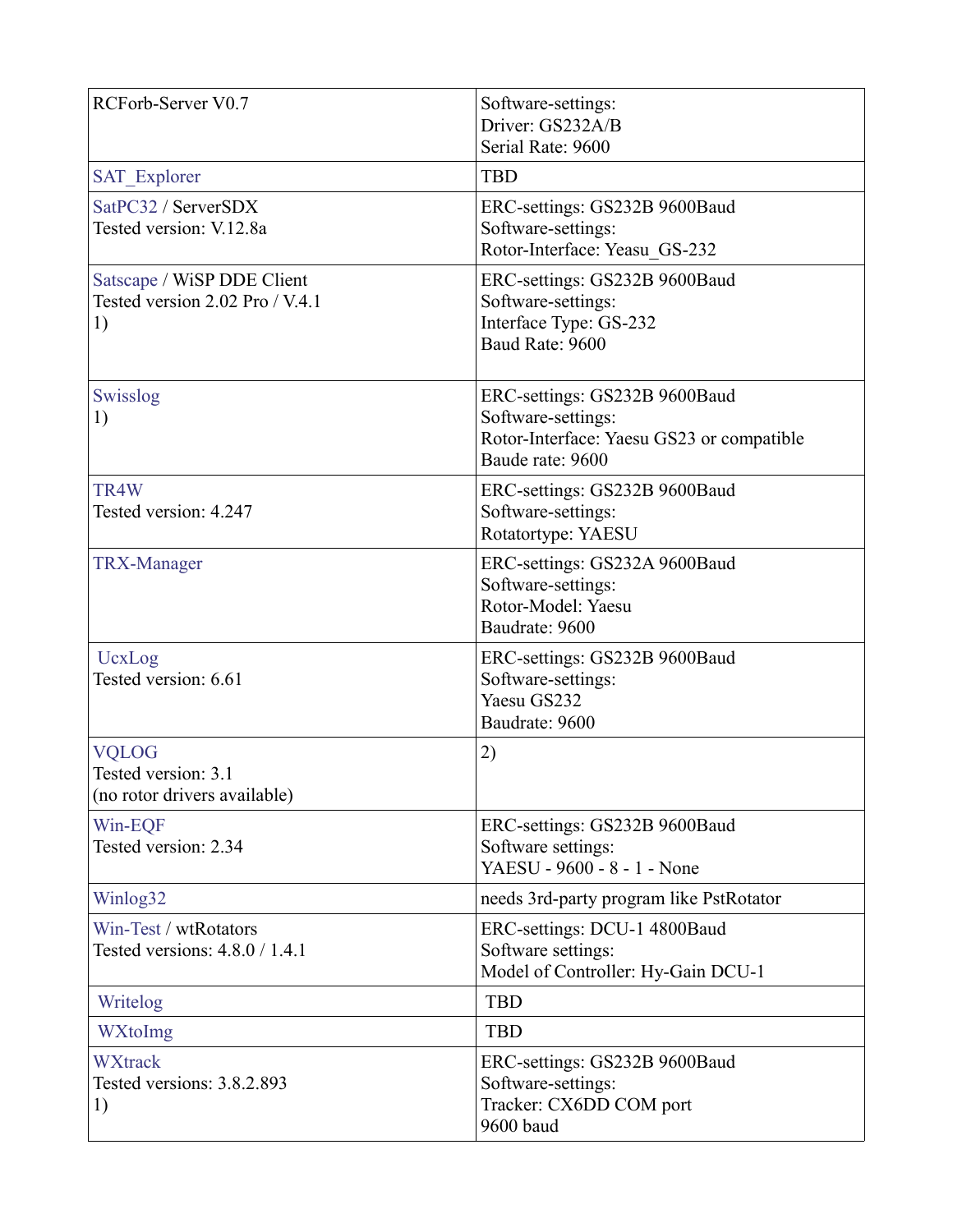| RCForb-Server V0.7                                                  | Software-settings:<br>Driver: GS232A/B<br>Serial Rate: 9600                                                          |
|---------------------------------------------------------------------|----------------------------------------------------------------------------------------------------------------------|
| <b>SAT_Explorer</b>                                                 | <b>TBD</b>                                                                                                           |
| SatPC32 / ServerSDX<br>Tested version: V.12.8a                      | ERC-settings: GS232B 9600Baud<br>Software-settings:<br>Rotor-Interface: Yeasu_GS-232                                 |
| Satscape / WiSP DDE Client<br>Tested version 2.02 Pro / V.4.1<br>1) | ERC-settings: GS232B 9600Baud<br>Software-settings:<br>Interface Type: GS-232<br>Baud Rate: 9600                     |
| Swisslog<br>1)                                                      | ERC-settings: GS232B 9600Baud<br>Software-settings:<br>Rotor-Interface: Yaesu GS23 or compatible<br>Baude rate: 9600 |
| TR4W<br>Tested version: 4.247                                       | ERC-settings: GS232B 9600Baud<br>Software-settings:<br>Rotatortype: YAESU                                            |
| <b>TRX-Manager</b>                                                  | ERC-settings: GS232A 9600Baud<br>Software-settings:<br>Rotor-Model: Yaesu<br>Baudrate: 9600                          |
| UcxLog<br>Tested version: 6.61                                      | ERC-settings: GS232B 9600Baud<br>Software-settings:<br>Yaesu GS232<br>Baudrate: 9600                                 |
| <b>VQLOG</b><br>Tested version: 3.1<br>(no rotor drivers available) | 2)                                                                                                                   |
| Win-EQF<br>Tested version: 2.34                                     | ERC-settings: GS232B 9600Baud<br>Software settings:<br>YAESU - 9600 - 8 - 1 - None                                   |
| Winlog32                                                            | needs 3rd-party program like PstRotator                                                                              |
| Win-Test / wtRotators<br>Tested versions: $4.8.0 / 1.4.1$           | ERC-settings: DCU-1 4800Baud<br>Software settings:<br>Model of Controller: Hy-Gain DCU-1                             |
| Writelog                                                            | <b>TBD</b>                                                                                                           |
| WXtoImg                                                             | <b>TBD</b>                                                                                                           |
| <b>WXtrack</b><br>Tested versions: 3.8.2.893<br>1)                  | ERC-settings: GS232B 9600Baud<br>Software-settings:<br>Tracker: CX6DD COM port<br>9600 baud                          |